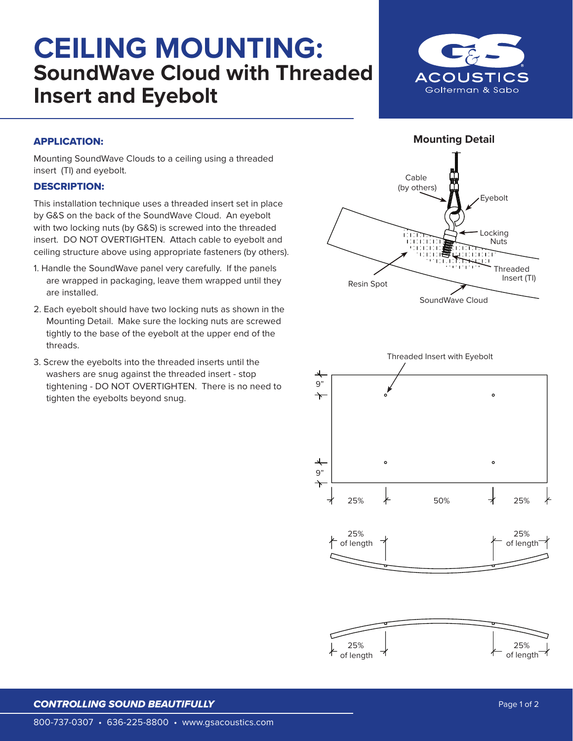## **CEILING MOUNTING: SoundWave Cloud with Threaded Insert and Eyebolt**



## APPLICATION:

Mounting SoundWave Clouds to a ceiling using a threaded insert (TI) and eyebolt.

## DESCRIPTION:

This installation technique uses a threaded insert set in place by G&S on the back of the SoundWave Cloud. An eyebolt with two locking nuts (by G&S) is screwed into the threaded insert. DO NOT OVERTIGHTEN. Attach cable to eyebolt and ceiling structure above using appropriate fasteners (by others).

- 1. Handle the SoundWave panel very carefully. If the panels are wrapped in packaging, leave them wrapped until they are installed.
- 2. Each eyebolt should have two locking nuts as shown in the Mounting Detail. Make sure the locking nuts are screwed tightly to the base of the eyebolt at the upper end of the threads.
- 3. Screw the eyebolts into the threaded inserts until the washers are snug against the threaded insert - stop tightening - DO NOT OVERTIGHTEN. There is no need to tighten the eyebolts beyond snug.